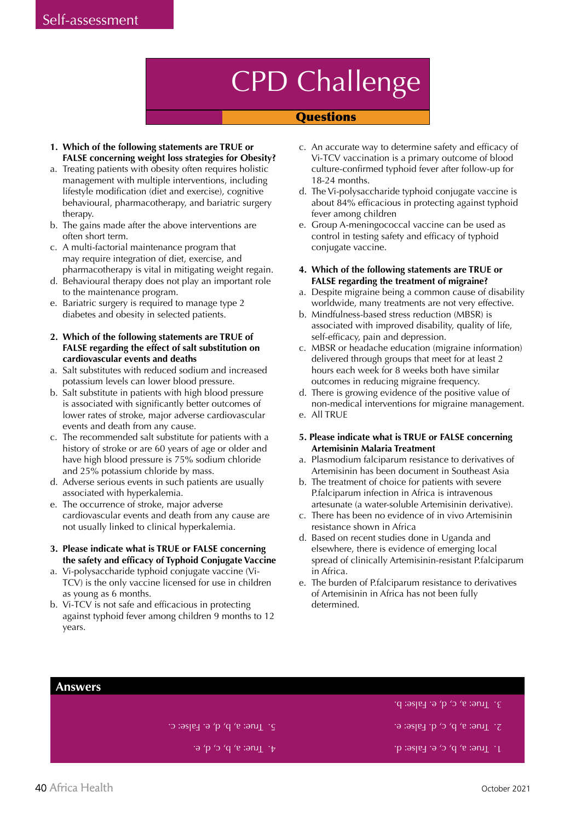## CPD Challenge

#### **Ouestions**

- **1. Which of the following statements are TRUE or FALSE concerning weight loss strategies for Obesity?**
- a. Treating patients with obesity often requires holistic management with multiple interventions, including lifestyle modification (diet and exercise), cognitive behavioural, pharmacotherapy, and bariatric surgery therapy.
- b. The gains made after the above interventions are often short term.
- c. A multi-factorial maintenance program that may require integration of diet, exercise, and pharmacotherapy is vital in mitigating weight regain.
- d. Behavioural therapy does not play an important role to the maintenance program.
- e. Bariatric surgery is required to manage type 2 diabetes and obesity in selected patients.
- **2. Which of the following statements are TRUE of FALSE regarding the effect of salt substitution on cardiovascular events and deaths**
- a. Salt substitutes with reduced sodium and increased potassium levels can lower blood pressure.
- b. Salt substitute in patients with high blood pressure is associated with significantly better outcomes of lower rates of stroke, major adverse cardiovascular events and death from any cause.
- c. The recommended salt substitute for patients with a history of stroke or are 60 years of age or older and have high blood pressure is 75% sodium chloride and 25% potassium chloride by mass.
- d. Adverse serious events in such patients are usually associated with hyperkalemia.
- e. The occurrence of stroke, major adverse cardiovascular events and death from any cause are not usually linked to clinical hyperkalemia.
- **3. Please indicate what is TRUE or FALSE concerning the safety and efficacy of Typhoid Conjugate Vaccine**
- a. Vi-polysaccharide typhoid conjugate vaccine (Vi-TCV) is the only vaccine licensed for use in children as young as 6 months.
- b. Vi-TCV is not safe and efficacious in protecting against typhoid fever among children 9 months to 12 years.
- c. An accurate way to determine safety and efficacy of Vi-TCV vaccination is a primary outcome of blood culture-confirmed typhoid fever after follow-up for 18-24 months.
- d. The Vi-polysaccharide typhoid conjugate vaccine is about 84% efficacious in protecting against typhoid fever among children
- e. Group A-meningococcal vaccine can be used as control in testing safety and efficacy of typhoid conjugate vaccine.
- **4. Which of the following statements are TRUE or FALSE regarding the treatment of migraine?**
- a. Despite migraine being a common cause of disability worldwide, many treatments are not very effective.
- b. Mindfulness-based stress reduction (MBSR) is associated with improved disability, quality of life, self-efficacy, pain and depression.
- c. MBSR or headache education (migraine information) delivered through groups that meet for at least 2 hours each week for 8 weeks both have similar outcomes in reducing migraine frequency.
- d. There is growing evidence of the positive value of non-medical interventions for migraine management.
- e. All TRUE

#### **5. Please indicate what is TRUE or FALSE concerning Artemisinin Malaria Treatment**

- a. Plasmodium falciparum resistance to derivatives of Artemisinin has been document in Southeast Asia
- b. The treatment of choice for patients with severe P.falciparum infection in Africa is intravenous artesunate (a water-soluble Artemisinin derivative).
- c. There has been no evidence of in vivo Artemisinin resistance shown in Africa
- d. Based on recent studies done in Uganda and elsewhere, there is evidence of emerging local spread of clinically Artemisinin-resistant P.falciparum in Africa.
- e. The burden of P.falciparum resistance to derivatives of Artemisinin in Africa has not been fully determined.

#### $1.$  True: a, b, c, e. False: d.  $T$  - Tune: g) d) c) d. False: e.  $3.$  True: a, c, d, e. False: b.  $\mathcal{F}$  . True: a, b, c, d, e.  $\overline{P}$ . True: a, b, d, e. False: c. **Answers**